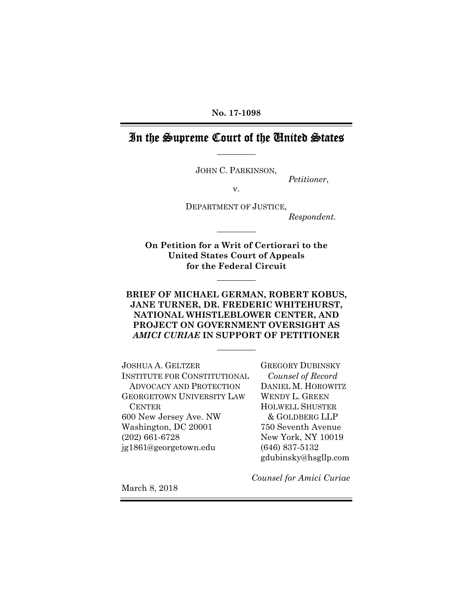**No. 17-1098** 

# In the Supreme Court of the United States

JOHN C. PARKINSON,

*Petitioner*,

v.

DEPARTMENT OF JUSTICE, *Respondent.* 

 **United States Court of Appeals for the Federal Circuit On Petition for a Writ of Certiorari to the** 

#### **BRIEF OF MICHAEL GERMAN, ROBERT KOBUS, JANE TURNER, DR. FREDERIC WHITEHURST, NATIONAL WHISTLEBLOWER CENTER, AND PROJECT ON GOVERNMENT OVERSIGHT AS**  *AMICI CURIAE* **IN SUPPORT OF PETITIONER**

JOSHUA A. GELTZER GREGORY DUBINSKY INSTITUTE FOR CONSTITUTIONAL *Counsel of Record*  ADVOCACY AND PROTECTION DANIEL M. HOROWITZ GEORGETOWN UNIVERSITY LAW WENDY L. GREEN CENTER HOLWELL SHUSTER 600 New Jersey Ave. NW & GOLDBERG LLP Washington, DC 20001 750 Seventh Avenue (202) 661-6728 New York, NY 10019 jg1861@georgetown.edu (646) 837-5132

gdubinsky@hsgllp.com

*Counsel for Amici Curiae* 

March 8, 2018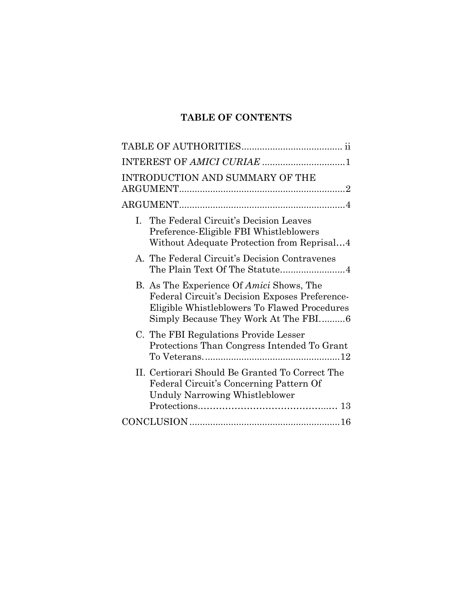# **TABLE OF CONTENTS**

| INTEREST OF AMICI CURIAE 1                                                                                                                                                         |
|------------------------------------------------------------------------------------------------------------------------------------------------------------------------------------|
| INTRODUCTION AND SUMMARY OF THE                                                                                                                                                    |
|                                                                                                                                                                                    |
| I. The Federal Circuit's Decision Leaves<br>Preference-Eligible FBI Whistleblowers<br>Without Adequate Protection from Reprisal4                                                   |
| A. The Federal Circuit's Decision Contravenes                                                                                                                                      |
| B. As The Experience Of Amici Shows, The<br>Federal Circuit's Decision Exposes Preference-<br>Eligible Whistleblowers To Flawed Procedures<br>Simply Because They Work At The FBI6 |
| C. The FBI Regulations Provide Lesser<br>Protections Than Congress Intended To Grant                                                                                               |
| II. Certiorari Should Be Granted To Correct The<br>Federal Circuit's Concerning Pattern Of<br><b>Unduly Narrowing Whistleblower</b>                                                |
|                                                                                                                                                                                    |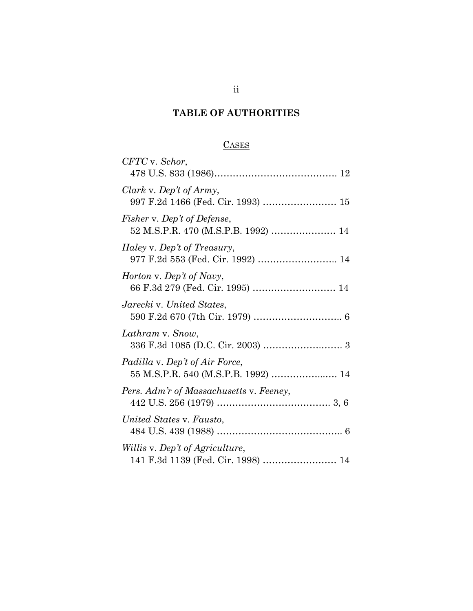# **TABLE OF AUTHORITIES**

## **CASES**

<span id="page-2-0"></span>

| CFTC v. Schor,                                                        |
|-----------------------------------------------------------------------|
| Clark v. Dep't of Army,<br>997 F.2d 1466 (Fed. Cir. 1993)  15         |
| Fisher v. Dep't of Defense,<br>52 M.S.P.R. 470 (M.S.P.B. 1992)  14    |
| Haley v. Dep't of Treasury,<br>977 F.2d 553 (Fed. Cir. 1992)  14      |
| Horton v. Dep't of Navy,<br>66 F.3d 279 (Fed. Cir. 1995)  14          |
| Jarecki v. United States,                                             |
| Lathram v. Snow,                                                      |
| Padilla v. Dep't of Air Force,<br>55 M.S.P.R. 540 (M.S.P.B. 1992)  14 |
| Pers. Adm'r of Massachusetts v. Feeney,                               |
| United States v. Fausto,                                              |
| Willis v. Dep't of Agriculture,<br>141 F.3d 1139 (Fed. Cir. 1998)  14 |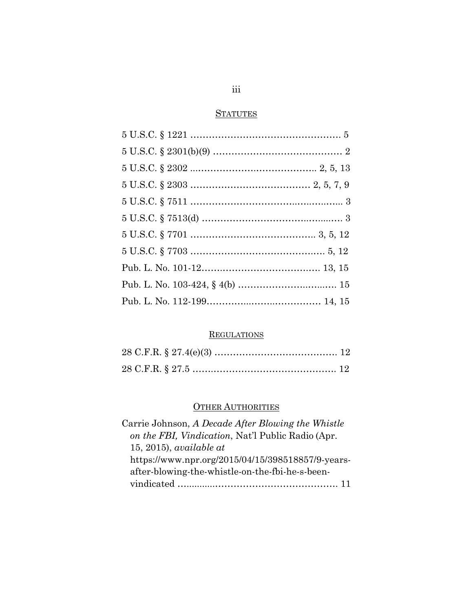## **STATUTES**

## **REGULATIONS**

## **OTHER AUTHORITIES**

| Carrie Johnson, A Decade After Blowing the Whistle |
|----------------------------------------------------|
| on the FBI, Vindication, Nat'l Public Radio (Apr.  |
| 15, 2015), available at                            |
| https://www.npr.org/2015/04/15/398518857/9-years-  |
| after-blowing-the-whistle-on-the-fbi-he-s-been-    |
|                                                    |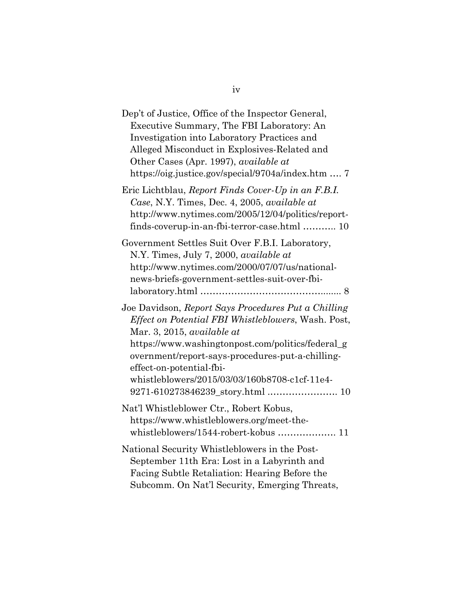| Dep't of Justice, Office of the Inspector General,<br>Executive Summary, The FBI Laboratory: An<br>Investigation into Laboratory Practices and<br>Alleged Misconduct in Explosives-Related and<br>Other Cases (Apr. 1997), available at<br>https://oig.justice.gov/special/9704a/index.htm  7                                                                      |
|--------------------------------------------------------------------------------------------------------------------------------------------------------------------------------------------------------------------------------------------------------------------------------------------------------------------------------------------------------------------|
| Eric Lichtblau, Report Finds Cover-Up in an F.B.I.<br>Case, N.Y. Times, Dec. 4, 2005, available at<br>http://www.nytimes.com/2005/12/04/politics/report-<br>finds-coverup-in-an-fbi-terror-case.html  10                                                                                                                                                           |
| Government Settles Suit Over F.B.I. Laboratory,<br>N.Y. Times, July 7, 2000, available at<br>http://www.nytimes.com/2000/07/07/us/national-<br>news-briefs-government-settles-suit-over-fbi-                                                                                                                                                                       |
| Joe Davidson, Report Says Procedures Put a Chilling<br>Effect on Potential FBI Whistleblowers, Wash. Post,<br>Mar. 3, 2015, available at<br>https://www.washingtonpost.com/politics/federal_g<br>overnment/report-says-procedures-put-a-chilling-<br>effect-on-potential-fbi-<br>whistleblowers/2015/03/03/160b8708-c1cf-11e4-<br>9271-610273846239_story.html  10 |
| Nat'l Whistleblower Ctr., Robert Kobus,<br>https://www.whistleblowers.org/meet-the-<br>whistleblowers/1544-robert-kobus  11                                                                                                                                                                                                                                        |
| National Security Whistleblowers in the Post-<br>September 11th Era: Lost in a Labyrinth and<br>Facing Subtle Retaliation: Hearing Before the<br>Subcomm. On Nat'l Security, Emerging Threats,                                                                                                                                                                     |

iv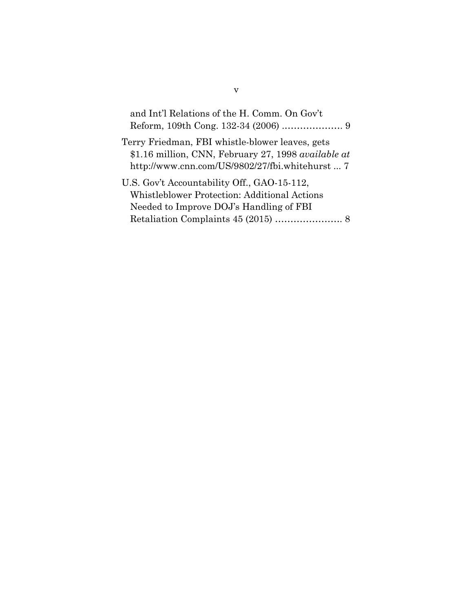| and Int'l Relations of the H. Comm. On Gov't        |
|-----------------------------------------------------|
| Terry Friedman, FBI whistle-blower leaves, gets     |
| \$1.16 million, CNN, February 27, 1998 available at |
| http://www.cnn.com/US/9802/27/fbi.whitehurst  7     |
| U.S. Gov't Accountability Off., GAO-15-112,         |
| Whistleblower Protection: Additional Actions        |
| Needed to Improve DOJ's Handling of FBI             |
|                                                     |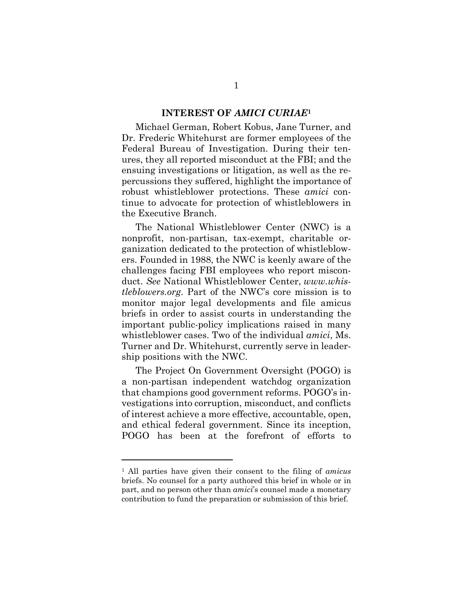#### **INTEREST OF** *AMICI CURIAE***<sup>1</sup>**

<span id="page-6-0"></span>Michael German, Robert Kobus, Jane Turner, and Dr. Frederic Whitehurst are former employees of the Federal Bureau of Investigation. During their tenures, they all reported misconduct at the FBI; and the ensuing investigations or litigation, as well as the repercussions they suffered, highlight the importance of robust whistleblower protections. These *amici* continue to advocate for protection of whistleblowers in the Executive Branch.

The National Whistleblower Center (NWC) is a nonprofit, non-partisan, tax-exempt, charitable organization dedicated to the protection of whistleblowers. Founded in 1988, the NWC is keenly aware of the challenges facing FBI employees who report misconduct. *See* National Whistleblower Center, *www.whistleblowers.org*. Part of the NWC's core mission is to monitor major legal developments and file amicus briefs in order to assist courts in understanding the important public-policy implications raised in many whistleblower cases. Two of the individual *amici*, Ms. Turner and Dr. Whitehurst, currently serve in leadership positions with the NWC.

The Project On Government Oversight (POGO) is a non-partisan independent watchdog organization that champions good government reforms. POGO's investigations into corruption, misconduct, and conflicts of interest achieve a more effective, accountable, open, and ethical federal government. Since its inception, POGO has been at the forefront of efforts to

<sup>1</sup> All parties have given their consent to the filing of *amicus*  briefs. No counsel for a party authored this brief in whole or in part, and no person other than *amici*'s counsel made a monetary contribution to fund the preparation or submission of this brief.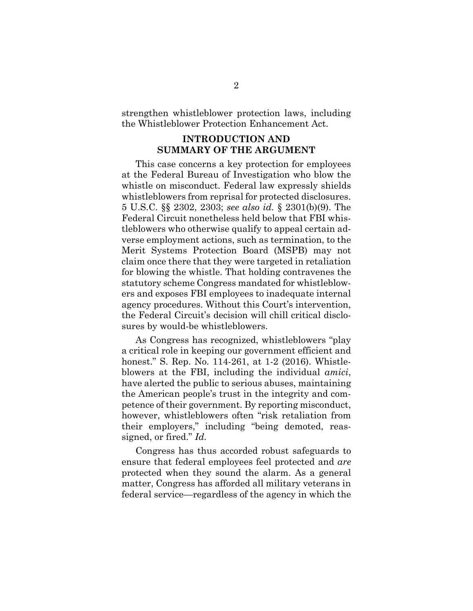<span id="page-7-0"></span>strengthen whistleblower protection laws, including the Whistleblower Protection Enhancement Act.

### **INTRODUCTION AND SUMMARY OF THE ARGUMENT**

This case concerns a key protection for employees at the Federal Bureau of Investigation who blow the whistle on misconduct. Federal law expressly shields whistleblowers from reprisal for protected disclosures. 5 U.S.C. §§ 2302, 2303; *see also id.* § 2301(b)(9). The Federal Circuit nonetheless held below that FBI whistleblowers who otherwise qualify to appeal certain adverse employment actions, such as termination, to the Merit Systems Protection Board (MSPB) may not claim once there that they were targeted in retaliation for blowing the whistle. That holding contravenes the statutory scheme Congress mandated for whistleblowers and exposes FBI employees to inadequate internal agency procedures. Without this Court's intervention, the Federal Circuit's decision will chill critical disclosures by would-be whistleblowers.

As Congress has recognized, whistleblowers "play a critical role in keeping our government efficient and honest." S. Rep. No. 114-261, at 1-2 (2016). Whistleblowers at the FBI, including the individual *amici*, have alerted the public to serious abuses, maintaining the American people's trust in the integrity and competence of their government. By reporting misconduct, however, whistleblowers often "risk retaliation from their employers," including "being demoted, reassigned, or fired." *Id.* 

Congress has thus accorded robust safeguards to ensure that federal employees feel protected and *are*  protected when they sound the alarm. As a general matter, Congress has afforded all military veterans in federal service—regardless of the agency in which the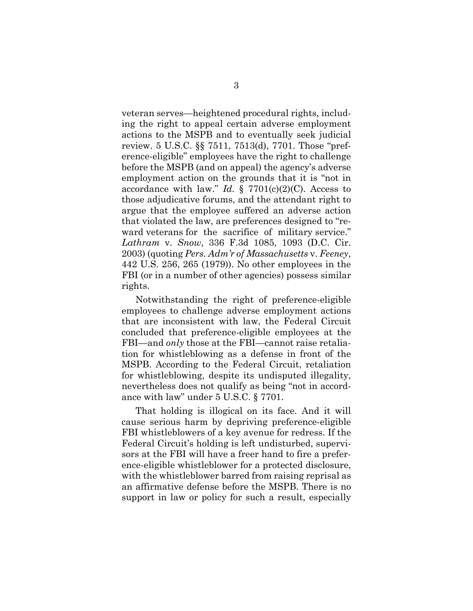veteran serves—heightened procedural rights, including the right to appeal certain adverse employment actions to the MSPB and to eventually seek judicial review. 5 U.S.C. §§ 7511, 7513(d), 7701. Those "preference-eligible" employees have the right to challenge before the MSPB (and on appeal) the agency's adverse employment action on the grounds that it is "not in accordance with law." *Id.*  $\S$  7701(c)(2)(C). Access to those adjudicative forums, and the attendant right to argue that the employee suffered an adverse action that violated the law, are preferences designed to "reward veterans for the sacrifice of military service." *Lathram* v. *Snow*, 336 F.3d 1085, 1093 (D.C. Cir. 2003) (quoting *Pers. Adm'r of Massachusetts* v. *Feeney*, 442 U.S. 256, 265 (1979)). No other employees in the FBI (or in a number of other agencies) possess similar rights.

Notwithstanding the right of preference-eligible employees to challenge adverse employment actions that are inconsistent with law, the Federal Circuit concluded that preference-eligible employees at the FBI—and *only* those at the FBI—cannot raise retaliation for whistleblowing as a defense in front of the MSPB. According to the Federal Circuit, retaliation for whistleblowing, despite its undisputed illegality, nevertheless does not qualify as being "not in accordance with law" under 5 U.S.C. § 7701.

That holding is illogical on its face. And it will cause serious harm by depriving preference-eligible FBI whistleblowers of a key avenue for redress. If the Federal Circuit's holding is left undisturbed, supervisors at the FBI will have a freer hand to fire a preference-eligible whistleblower for a protected disclosure, with the whistleblower barred from raising reprisal as an affirmative defense before the MSPB. There is no support in law or policy for such a result, especially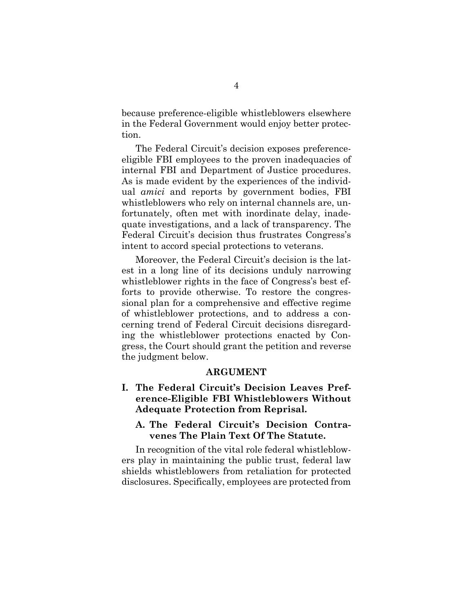<span id="page-9-0"></span>because preference-eligible whistleblowers elsewhere in the Federal Government would enjoy better protection.

The Federal Circuit's decision exposes preferenceeligible FBI employees to the proven inadequacies of internal FBI and Department of Justice procedures. As is made evident by the experiences of the individual *amici* and reports by government bodies, FBI whistleblowers who rely on internal channels are, unfortunately, often met with inordinate delay, inadequate investigations, and a lack of transparency. The Federal Circuit's decision thus frustrates Congress's intent to accord special protections to veterans.

Moreover, the Federal Circuit's decision is the latest in a long line of its decisions unduly narrowing whistleblower rights in the face of Congress's best efforts to provide otherwise. To restore the congressional plan for a comprehensive and effective regime of whistleblower protections, and to address a concerning trend of Federal Circuit decisions disregarding the whistleblower protections enacted by Congress, the Court should grant the petition and reverse the judgment below.

#### **ARGUMENT**

**I. The Federal Circuit's Decision Leaves Preference-Eligible FBI Whistleblowers Without Adequate Protection from Reprisal.** 

### **A. The Federal Circuit's Decision Contravenes The Plain Text Of The Statute.**

In recognition of the vital role federal whistleblowers play in maintaining the public trust, federal law shields whistleblowers from retaliation for protected disclosures. Specifically, employees are protected from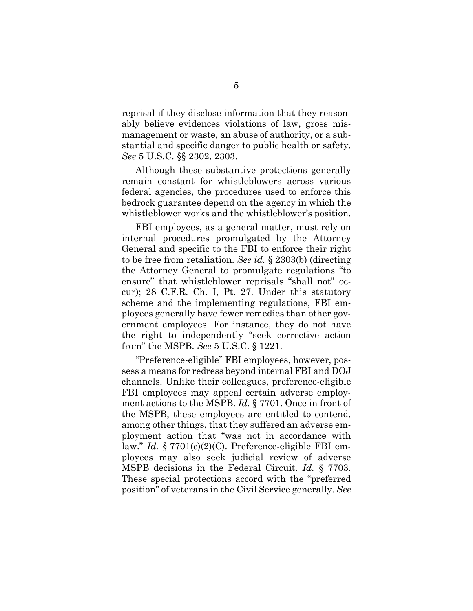reprisal if they disclose information that they reasonably believe evidences violations of law, gross mismanagement or waste, an abuse of authority, or a substantial and specific danger to public health or safety. *See* 5 U.S.C. §§ 2302, 2303.

Although these substantive protections generally remain constant for whistleblowers across various federal agencies, the procedures used to enforce this bedrock guarantee depend on the agency in which the whistleblower works and the whistleblower's position.

FBI employees, as a general matter, must rely on internal procedures promulgated by the Attorney General and specific to the FBI to enforce their right to be free from retaliation. *See id.* § 2303(b) (directing the Attorney General to promulgate regulations "to ensure" that whistleblower reprisals "shall not" occur); 28 C.F.R. Ch. I, Pt. 27. Under this statutory scheme and the implementing regulations, FBI employees generally have fewer remedies than other government employees. For instance, they do not have the right to independently "seek corrective action from" the MSPB. *See* 5 U.S.C. § 1221.

"Preference-eligible" FBI employees, however, possess a means for redress beyond internal FBI and DOJ channels. Unlike their colleagues, preference-eligible FBI employees may appeal certain adverse employment actions to the MSPB. *Id.* § 7701. Once in front of the MSPB, these employees are entitled to contend, among other things, that they suffered an adverse employment action that "was not in accordance with law." *Id.* § 7701(c)(2)(C). Preference-eligible FBI employees may also seek judicial review of adverse MSPB decisions in the Federal Circuit. *Id.* § 7703. These special protections accord with the "preferred position" of veterans in the Civil Service generally. *See*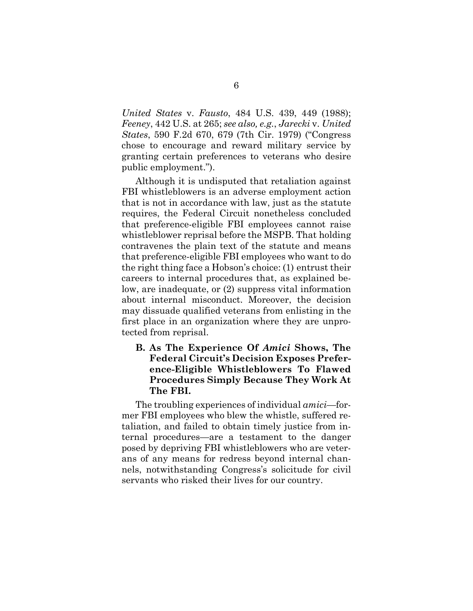<span id="page-11-0"></span>*United States* v. *Fausto*, 484 U.S. 439, 449 (1988); *Feeney*, 442 U.S. at 265; *see also, e.g.*, *Jarecki* v. *United States*, 590 F.2d 670, 679 (7th Cir. 1979) ("Congress chose to encourage and reward military service by granting certain preferences to veterans who desire public employment.").

Although it is undisputed that retaliation against FBI whistleblowers is an adverse employment action that is not in accordance with law, just as the statute requires, the Federal Circuit nonetheless concluded that preference-eligible FBI employees cannot raise whistleblower reprisal before the MSPB. That holding contravenes the plain text of the statute and means that preference-eligible FBI employees who want to do the right thing face a Hobson's choice: (1) entrust their careers to internal procedures that, as explained below, are inadequate, or (2) suppress vital information about internal misconduct. Moreover, the decision may dissuade qualified veterans from enlisting in the first place in an organization where they are unprotected from reprisal.

## **B. As The Experience Of** *Amici* **Shows, The Federal Circuit's Decision Exposes Preference-Eligible Whistleblowers To Flawed Procedures Simply Because They Work At The FBI.**

The troubling experiences of individual *amici*—former FBI employees who blew the whistle, suffered retaliation, and failed to obtain timely justice from internal procedures—are a testament to the danger posed by depriving FBI whistleblowers who are veterans of any means for redress beyond internal channels, notwithstanding Congress's solicitude for civil servants who risked their lives for our country.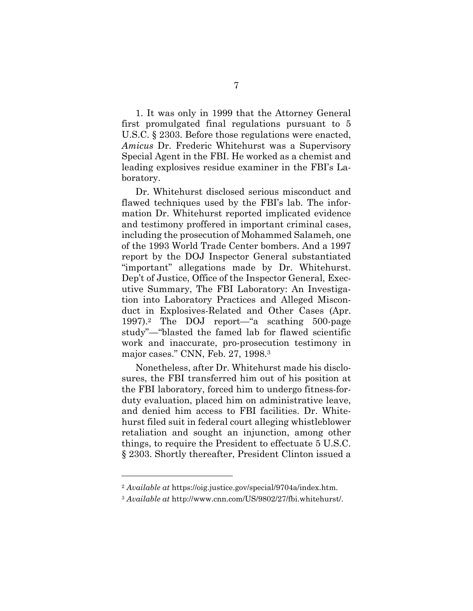1. It was only in 1999 that the Attorney General first promulgated final regulations pursuant to 5 U.S.C. § 2303. Before those regulations were enacted, *Amicus* Dr. Frederic Whitehurst was a Supervisory Special Agent in the FBI. He worked as a chemist and leading explosives residue examiner in the FBI's Laboratory.

 major cases." CNN, Feb. 27, 1998.3 Dr. Whitehurst disclosed serious misconduct and flawed techniques used by the FBI's lab. The information Dr. Whitehurst reported implicated evidence and testimony proffered in important criminal cases, including the prosecution of Mohammed Salameh, one of the 1993 World Trade Center bombers. And a 1997 report by the DOJ Inspector General substantiated "important" allegations made by Dr. Whitehurst. Dep't of Justice, Office of the Inspector General, Executive Summary, The FBI Laboratory: An Investigation into Laboratory Practices and Alleged Misconduct in Explosives-Related and Other Cases (Apr. 1997).2 The DOJ report—"a scathing 500-page study"—"blasted the famed lab for flawed scientific work and inaccurate, pro-prosecution testimony in

Nonetheless, after Dr. Whitehurst made his disclosures, the FBI transferred him out of his position at the FBI laboratory, forced him to undergo fitness-forduty evaluation, placed him on administrative leave, and denied him access to FBI facilities. Dr. Whitehurst filed suit in federal court alleging whistleblower retaliation and sought an injunction, among other things, to require the President to effectuate 5 U.S.C. § 2303. Shortly thereafter, President Clinton issued a

<sup>2</sup>*Available at* https://oig.justice.gov/special/9704a/index.htm.

<sup>3</sup> *Available at* http://www.cnn.com/US/9802/27/fbi.whitehurst/.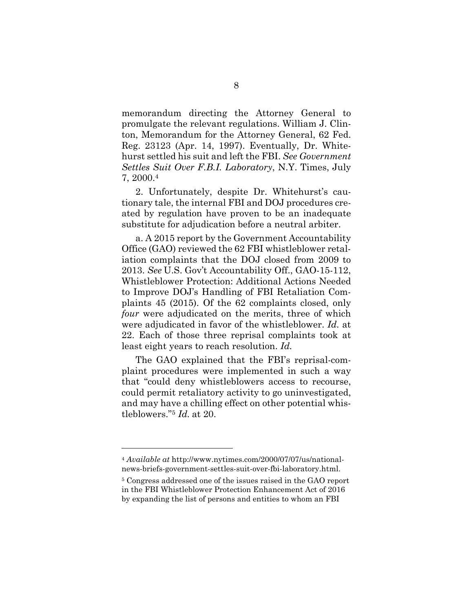memorandum directing the Attorney General to promulgate the relevant regulations. William J. Clinton, Memorandum for the Attorney General, 62 Fed. Reg. 23123 (Apr. 14, 1997). Eventually, Dr. Whitehurst settled his suit and left the FBI. *See Government Settles Suit Over F.B.I. Laboratory*, N.Y. Times, July 7, 2000.4

2. Unfortunately, despite Dr. Whitehurst's cautionary tale, the internal FBI and DOJ procedures created by regulation have proven to be an inadequate substitute for adjudication before a neutral arbiter.

a. A 2015 report by the Government Accountability Office (GAO) reviewed the 62 FBI whistleblower retaliation complaints that the DOJ closed from 2009 to 2013. *See* U.S. Gov't Accountability Off., GAO-15-112, Whistleblower Protection: Additional Actions Needed to Improve DOJ's Handling of FBI Retaliation Complaints 45 (2015). Of the 62 complaints closed, only *four* were adjudicated on the merits, three of which were adjudicated in favor of the whistleblower. *Id.* at 22. Each of those three reprisal complaints took at least eight years to reach resolution. *Id.* 

The GAO explained that the FBI's reprisal-complaint procedures were implemented in such a way that "could deny whistleblowers access to recourse, could permit retaliatory activity to go uninvestigated, and may have a chilling effect on other potential whistleblowers."5 *Id.* at 20.

<sup>4</sup> *Available at* http://www.nytimes.com/2000/07/07/us/nationalnews-briefs-government-settles-suit-over-fbi-laboratory.html.

<sup>5</sup> Congress addressed one of the issues raised in the GAO report in the FBI Whistleblower Protection Enhancement Act of 2016 by expanding the list of persons and entities to whom an FBI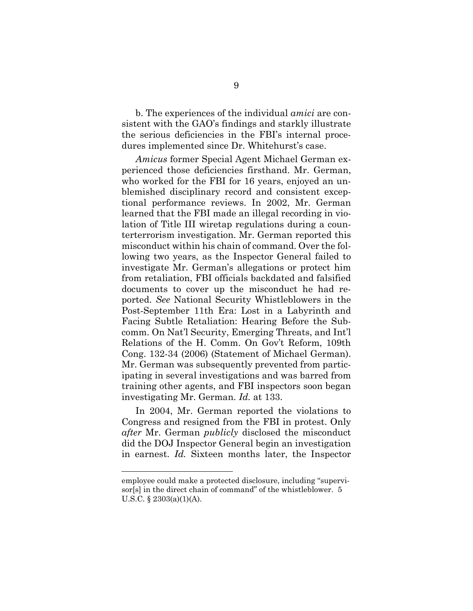b. The experiences of the individual *amici* are consistent with the GAO's findings and starkly illustrate the serious deficiencies in the FBI's internal procedures implemented since Dr. Whitehurst's case.

*Amicus* former Special Agent Michael German experienced those deficiencies firsthand. Mr. German, who worked for the FBI for 16 years, enjoyed an unblemished disciplinary record and consistent exceptional performance reviews. In 2002, Mr. German learned that the FBI made an illegal recording in violation of Title III wiretap regulations during a counterterrorism investigation. Mr. German reported this misconduct within his chain of command. Over the following two years, as the Inspector General failed to investigate Mr. German's allegations or protect him from retaliation, FBI officials backdated and falsified documents to cover up the misconduct he had reported. *See* National Security Whistleblowers in the Post-September 11th Era: Lost in a Labyrinth and Facing Subtle Retaliation: Hearing Before the Subcomm. On Nat'l Security, Emerging Threats, and Int'l Relations of the H. Comm. On Gov't Reform, 109th Cong. 132-34 (2006) (Statement of Michael German). Mr. German was subsequently prevented from participating in several investigations and was barred from training other agents, and FBI inspectors soon began investigating Mr. German. *Id.* at 133.

In 2004, Mr. German reported the violations to Congress and resigned from the FBI in protest. Only *after* Mr. German *publicly* disclosed the misconduct did the DOJ Inspector General begin an investigation in earnest. *Id.* Sixteen months later, the Inspector

employee could make a protected disclosure, including "supervisor[s] in the direct chain of command" of the whistleblower. 5 U.S.C. § 2303(a)(1)(A).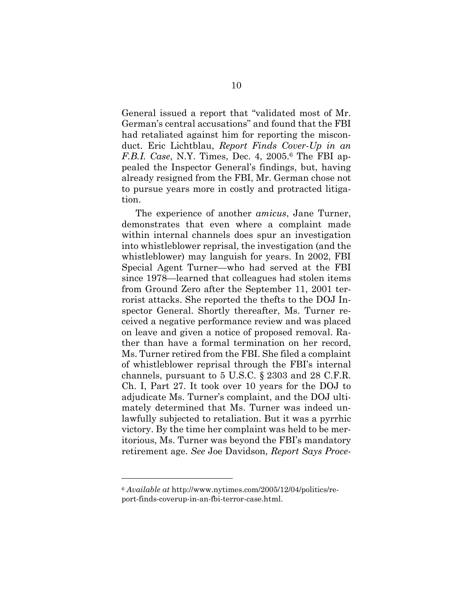General issued a report that "validated most of Mr. German's central accusations" and found that the FBI had retaliated against him for reporting the misconduct. Eric Lichtblau, *Report Finds Cover-Up in an F.B.I. Case*, N.Y. Times, Dec. 4, 2005.6 The FBI appealed the Inspector General's findings, but, having already resigned from the FBI, Mr. German chose not to pursue years more in costly and protracted litigation.

The experience of another *amicus*, Jane Turner, demonstrates that even where a complaint made within internal channels does spur an investigation into whistleblower reprisal, the investigation (and the whistleblower) may languish for years. In 2002, FBI Special Agent Turner—who had served at the FBI since 1978—learned that colleagues had stolen items from Ground Zero after the September 11, 2001 terrorist attacks. She reported the thefts to the DOJ Inspector General. Shortly thereafter, Ms. Turner received a negative performance review and was placed on leave and given a notice of proposed removal. Rather than have a formal termination on her record, Ms. Turner retired from the FBI. She filed a complaint of whistleblower reprisal through the FBI's internal channels, pursuant to 5 U.S.C. § 2303 and 28 C.F.R. Ch. I, Part 27. It took over 10 years for the DOJ to adjudicate Ms. Turner's complaint, and the DOJ ultimately determined that Ms. Turner was indeed unlawfully subjected to retaliation. But it was a pyrrhic victory. By the time her complaint was held to be meritorious, Ms. Turner was beyond the FBI's mandatory retirement age. *See* Joe Davidson, *Report Says Proce-*

<sup>6</sup> *Available at* http://www.nytimes.com/2005/12/04/politics/report-finds-coverup-in-an-fbi-terror-case.html.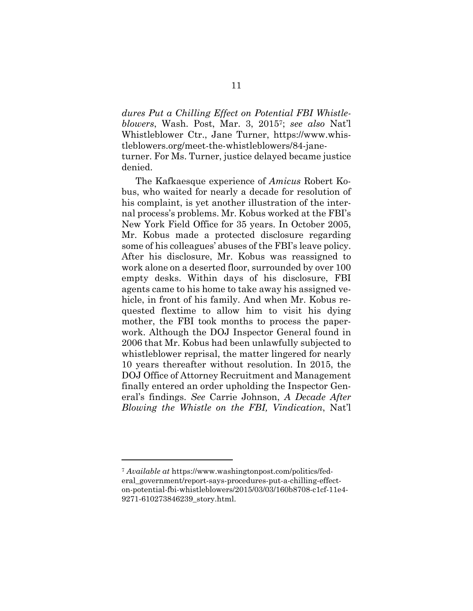*dures Put a Chilling Effect on Potential FBI Whistleblowers*, Wash. Post, Mar. 3, 20157; *see also* Nat'l Whistleblower Ctr., Jane Turner, https://www.whistleblowers.org/meet-the-whistleblowers/84-janeturner. For Ms. Turner, justice delayed became justice denied.

The Kafkaesque experience of *Amicus* Robert Kobus, who waited for nearly a decade for resolution of his complaint, is yet another illustration of the internal process's problems. Mr. Kobus worked at the FBI's New York Field Office for 35 years. In October 2005, Mr. Kobus made a protected disclosure regarding some of his colleagues' abuses of the FBI's leave policy. After his disclosure, Mr. Kobus was reassigned to work alone on a deserted floor, surrounded by over 100 empty desks. Within days of his disclosure, FBI agents came to his home to take away his assigned vehicle, in front of his family. And when Mr. Kobus requested flextime to allow him to visit his dying mother, the FBI took months to process the paperwork. Although the DOJ Inspector General found in 2006 that Mr. Kobus had been unlawfully subjected to whistleblower reprisal, the matter lingered for nearly 10 years thereafter without resolution. In 2015, the DOJ Office of Attorney Recruitment and Management finally entered an order upholding the Inspector General's findings. *See* Carrie Johnson, *A Decade After Blowing the Whistle on the FBI, Vindication*, Nat'l

<sup>7</sup> *Available at* https://www.washingtonpost.com/politics/federal\_government/report-says-procedures-put-a-chilling-effecton-potential-fbi-whistleblowers/2015/03/03/160b8708-c1cf-11e4- 9271-610273846239\_story.html.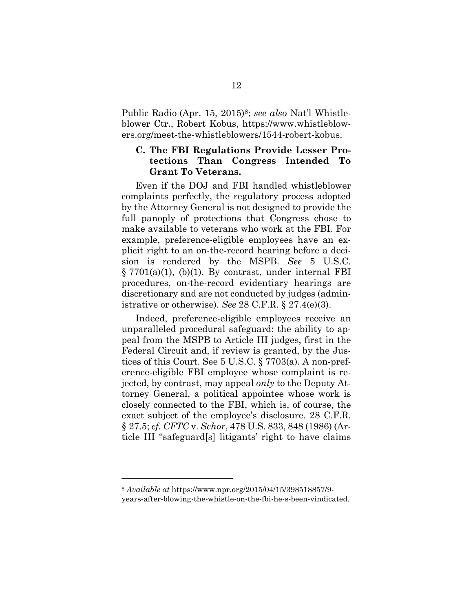<span id="page-17-0"></span>Public Radio (Apr. 15, 2015)<sup>8</sup>; see also Nat'l Whistleblower Ctr., Robert Kobus, https://www.whistleblowers.org/meet-the-whistleblowers/1544-robert-kobus.

## **C. The FBI Regulations Provide Lesser Protections Than Congress Intended To Grant To Veterans.**

Even if the DOJ and FBI handled whistleblower complaints perfectly, the regulatory process adopted by the Attorney General is not designed to provide the full panoply of protections that Congress chose to make available to veterans who work at the FBI. For example, preference-eligible employees have an explicit right to an on-the-record hearing before a decision is rendered by the MSPB. *See* 5 U.S.C. § 7701(a)(1), (b)(1). By contrast, under internal FBI procedures, on-the-record evidentiary hearings are discretionary and are not conducted by judges (administrative or otherwise). *See* 28 C.F.R. § 27.4(e)(3).

Indeed, preference-eligible employees receive an unparalleled procedural safeguard: the ability to appeal from the MSPB to Article III judges, first in the Federal Circuit and, if review is granted, by the Justices of this Court. See 5 U.S.C. § 7703(a). A non-preference-eligible FBI employee whose complaint is rejected, by contrast, may appeal *only* to the Deputy Attorney General, a political appointee whose work is closely connected to the FBI, which is, of course, the exact subject of the employee's disclosure. 28 C.F.R. § 27.5; *cf. CFTC* v. *Schor*, 478 U.S. 833, 848 (1986) (Article III "safeguard[s] litigants' right to have claims

<sup>8</sup>*Available at* https://www.npr.org/2015/04/15/398518857/9-

years-after-blowing-the-whistle-on-the-fbi-he-s-been-vindicated.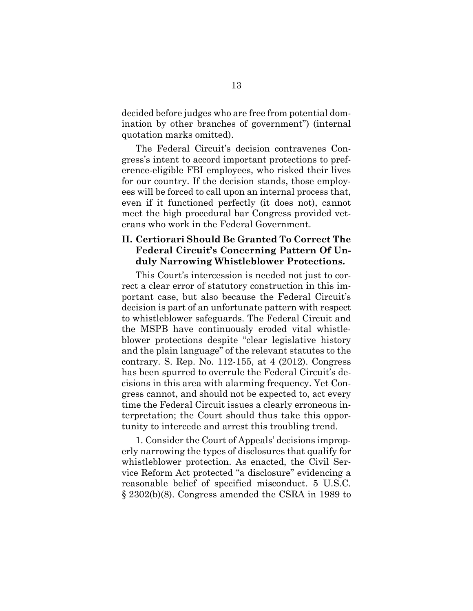<span id="page-18-0"></span>decided before judges who are free from potential domination by other branches of government") (internal quotation marks omitted).

The Federal Circuit's decision contravenes Congress's intent to accord important protections to preference-eligible FBI employees, who risked their lives for our country. If the decision stands, those employees will be forced to call upon an internal process that, even if it functioned perfectly (it does not), cannot meet the high procedural bar Congress provided veterans who work in the Federal Government.

### **II. Certiorari Should Be Granted To Correct The Federal Circuit's Concerning Pattern Of Unduly Narrowing Whistleblower Protections.**

This Court's intercession is needed not just to correct a clear error of statutory construction in this important case, but also because the Federal Circuit's decision is part of an unfortunate pattern with respect to whistleblower safeguards. The Federal Circuit and the MSPB have continuously eroded vital whistleblower protections despite "clear legislative history and the plain language" of the relevant statutes to the contrary. S. Rep. No. 112-155, at 4 (2012). Congress has been spurred to overrule the Federal Circuit's decisions in this area with alarming frequency. Yet Congress cannot, and should not be expected to, act every time the Federal Circuit issues a clearly erroneous interpretation; the Court should thus take this opportunity to intercede and arrest this troubling trend.

1. Consider the Court of Appeals' decisions improperly narrowing the types of disclosures that qualify for whistleblower protection. As enacted, the Civil Service Reform Act protected "a disclosure" evidencing a reasonable belief of specified misconduct. 5 U.S.C. § 2302(b)(8). Congress amended the CSRA in 1989 to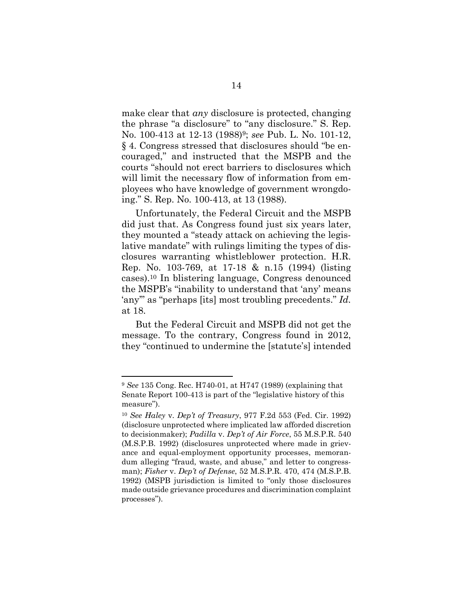make clear that *any* disclosure is protected, changing the phrase "a disclosure" to "any disclosure." S. Rep. No. 100-413 at 12-13 (1988)9; *see* Pub. L. No. 101-12, § 4. Congress stressed that disclosures should "be encouraged," and instructed that the MSPB and the courts "should not erect barriers to disclosures which will limit the necessary flow of information from employees who have knowledge of government wrongdoing." S. Rep. No. 100-413, at 13 (1988).

Unfortunately, the Federal Circuit and the MSPB did just that. As Congress found just six years later, they mounted a "steady attack on achieving the legislative mandate" with rulings limiting the types of disclosures warranting whistleblower protection. H.R. Rep. No. 103-769, at 17-18 & n.15 (1994) (listing cases).10 In blistering language, Congress denounced the MSPB's "inability to understand that 'any' means 'any'" as "perhaps [its] most troubling precedents." *Id.*  at 18.

But the Federal Circuit and MSPB did not get the message. To the contrary, Congress found in 2012, they "continued to undermine the [statute's] intended

<sup>9</sup>*See* 135 Cong. Rec. H740-01, at H747 (1989) (explaining that Senate Report 100-413 is part of the "legislative history of this measure").

<sup>10</sup>*See Haley* v. *Dep't of Treasury*, 977 F.2d 553 (Fed. Cir. 1992) (disclosure unprotected where implicated law afforded discretion to decisionmaker); *Padilla* v. *Dep't of Air Force*, 55 M.S.P.R. 540 (M.S.P.B. 1992) (disclosures unprotected where made in grievance and equal-employment opportunity processes, memorandum alleging "fraud, waste, and abuse," and letter to congressman); *Fisher* v. *Dep't of Defense*, 52 M.S.P.R. 470, 474 (M.S.P.B. 1992) (MSPB jurisdiction is limited to "only those disclosures made outside grievance procedures and discrimination complaint processes").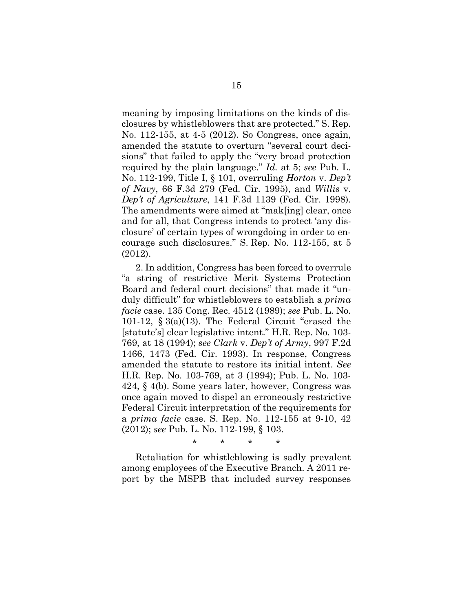meaning by imposing limitations on the kinds of disclosures by whistleblowers that are protected." S. Rep. No. 112-155, at 4-5 (2012). So Congress, once again, amended the statute to overturn "several court decisions" that failed to apply the "very broad protection required by the plain language." *Id.* at 5; *see* Pub. L. No. 112-199, Title I, § 101, overruling *Horton* v. *Dep't of Navy*, 66 F.3d 279 (Fed. Cir. 1995), and *Willis* v. *Dep't of Agriculture*, 141 F.3d 1139 (Fed. Cir. 1998). The amendments were aimed at "mak[ing] clear, once and for all, that Congress intends to protect 'any disclosure' of certain types of wrongdoing in order to encourage such disclosures." S. Rep. No. 112-155, at 5 (2012).

2. In addition, Congress has been forced to overrule "a string of restrictive Merit Systems Protection Board and federal court decisions" that made it "unduly difficult" for whistleblowers to establish a *prima facie* case. 135 Cong. Rec. 4512 (1989); *see* Pub. L. No. 101-12, § 3(a)(13). The Federal Circuit "erased the [statute's] clear legislative intent." H.R. Rep. No. 103- 769, at 18 (1994); *see Clark* v. *Dep't of Army*, 997 F.2d 1466, 1473 (Fed. Cir. 1993). In response, Congress amended the statute to restore its initial intent. *See*  H.R. Rep. No. 103-769, at 3 (1994); Pub. L. No. 103- 424, § 4(b). Some years later, however, Congress was once again moved to dispel an erroneously restrictive Federal Circuit interpretation of the requirements for a *prima facie* case. S. Rep. No. 112-155 at 9-10, 42 (2012); *see* Pub. L. No. 112-199, § 103.

\* \* \* \*

Retaliation for whistleblowing is sadly prevalent among employees of the Executive Branch. A 2011 report by the MSPB that included survey responses